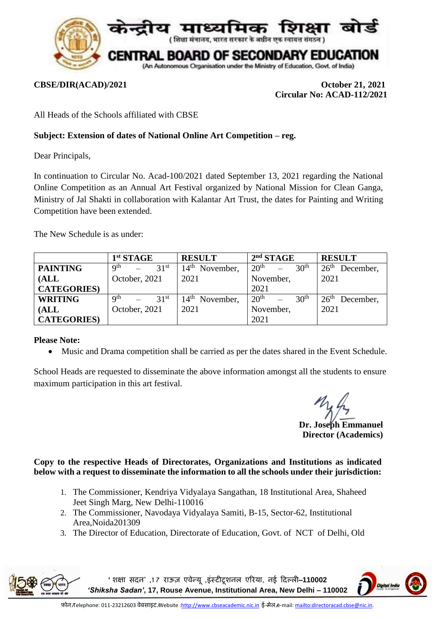

**CBSE/DIR(ACAD)/2021 October 21, 2021 Circular No: ACAD-112/2021**

All Heads of the Schools affiliated with CBSE

## **Subject: Extension of dates of National Online Art Competition – reg.**

Dear Principals,

In continuation to Circular No. Acad-100/2021 dated September 13, 2021 regarding the National Online Competition as an Annual Art Festival organized by National Mission for Clean Ganga, Ministry of Jal Shakti in collaboration with Kalantar Art Trust, the dates for Painting and Writing Competition have been extended.

The New Schedule is as under:

|                   | $1st$ STAGE                         | <b>RESULT</b>                 | 2 <sup>nd</sup> STAGE                | <b>RESULT</b>                 |
|-------------------|-------------------------------------|-------------------------------|--------------------------------------|-------------------------------|
| <b>PAINTING</b>   | Q <sup>th</sup><br>31 <sup>st</sup> | $14^{\text{th}}$<br>November, | 20 <sup>th</sup><br>30 <sup>th</sup> | 26 <sup>th</sup><br>December, |
| (ALL)             | October, 2021                       | 2021                          | November,                            | 2021                          |
| <b>CATEGORIES</b> |                                     |                               | 2021                                 |                               |
| <b>WRITING</b>    | Q <sup>th</sup><br>31 <sup>st</sup> | $14th$ November,              | 20 <sup>th</sup><br>30 <sup>th</sup> | 26 <sup>th</sup><br>December, |
| (ALL)             | October, 2021                       | 2021                          | November,                            | 2021                          |
| <b>CATEGORIES</b> |                                     |                               | 2021                                 |                               |

## **Please Note:**

Music and Drama competition shall be carried as per the dates shared in the Event Schedule.

School Heads are requested to disseminate the above information amongst all the students to ensure maximum participation in this art festival.

**Dr. Joseph Emmanuel** 

**Director (Academics)**

## **Copy to the respective Heads of Directorates, Organizations and Institutions as indicated below with a request to disseminate the information to all the schools under their jurisdiction:**

- 1. The Commissioner, Kendriya Vidyalaya Sangathan, 18 Institutional Area, Shaheed Jeet Singh Marg, New Delhi-110016
- 2. The Commissioner, Navodaya Vidyalaya Samiti, B-15, Sector-62, Institutional Area,Noida201309
- 3. The Director of Education, Directorate of Education, Govt. of NCT of Delhi, Old

**'शिक्षा सदन' ,1 7 राऊज़ एवेन्यू ,इंस्टीटूिनल एररया, नई ददल्ली**–**110002**  *'Shiksha Sadan'***, 17, Rouse Avenue, Institutional Area, New Delhi – 110002**